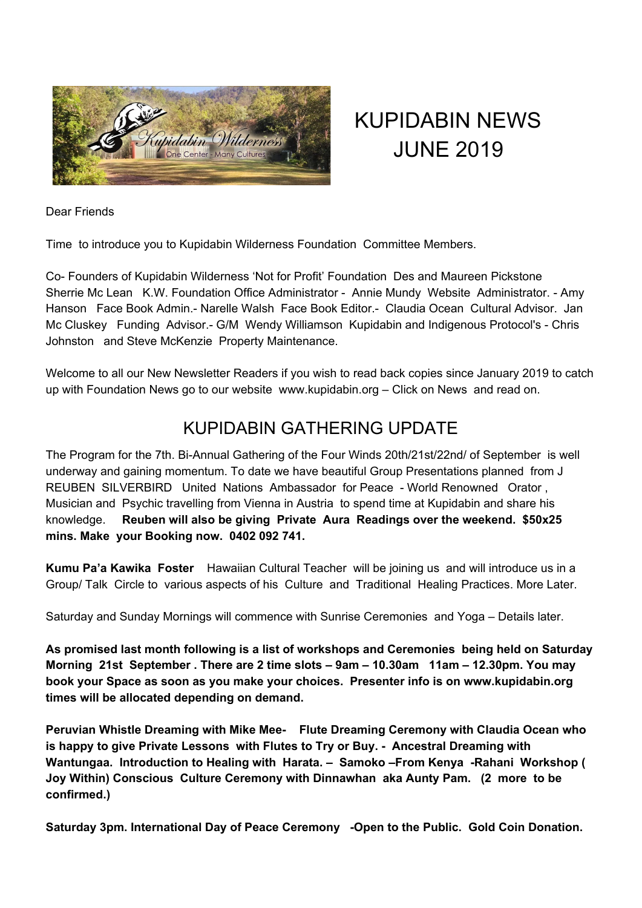

## KUPIDABIN NEWS JUNE 2019

Dear Friends

Time to introduce you to Kupidabin Wilderness Foundation Committee Members.

Co- Founders of Kupidabin Wilderness 'Not for Profit' Foundation Des and Maureen Pickstone Sherrie Mc Lean K.W. Foundation Office Administrator - Annie Mundy Website Administrator. - Amy Hanson Face Book Admin.- Narelle Walsh Face Book Editor.- Claudia Ocean Cultural Advisor. Jan Mc Cluskey Funding Advisor.- G/M Wendy Williamson Kupidabin and Indigenous Protocol's - Chris Johnston and Steve McKenzie Property Maintenance.

Welcome to all our New Newsletter Readers if you wish to read back copies since January 2019 to catch up with Foundation News go to our website www.kupidabin.org – Click on News and read on.

## KUPIDABIN GATHERING UPDATE

The Program for the 7th. Bi-Annual Gathering of the Four Winds 20th/21st/22nd/ of September is well underway and gaining momentum. To date we have beautiful Group Presentations planned from J REUBEN SILVERBIRD United Nations Ambassador for Peace - World Renowned Orator , Musician and Psychic travelling from Vienna in Austria to spend time at Kupidabin and share his knowledge. **Reuben will also be giving Private Aura Readings over the weekend. \$50x25 mins. Make your Booking now. 0402 092 741.**

**Kumu Pa'a Kawika Foster** Hawaiian Cultural Teacher will be joining us and will introduce us in a Group/ Talk Circle to various aspects of his Culture and Traditional Healing Practices. More Later.

Saturday and Sunday Mornings will commence with Sunrise Ceremonies and Yoga – Details later.

**As promised last month following is a list of workshops and Ceremonies being held on Saturday Morning 21st September . There are 2 time slots – 9am – 10.30am 11am – 12.30pm. You may book your Space as soon as you make your choices. Presenter info is on www.kupidabin.org times will be allocated depending on demand.**

**Peruvian Whistle Dreaming with Mike Mee- Flute Dreaming Ceremony with Claudia Ocean who is happy to give Private Lessons with Flutes to Try or Buy. - Ancestral Dreaming with Wantungaa. Introduction to Healing with Harata. – Samoko –From Kenya -Rahani Workshop ( Joy Within) Conscious Culture Ceremony with Dinnawhan aka Aunty Pam. (2 more to be confirmed.)**

**Saturday 3pm. International Day of Peace Ceremony -Open to the Public. Gold Coin Donation.**